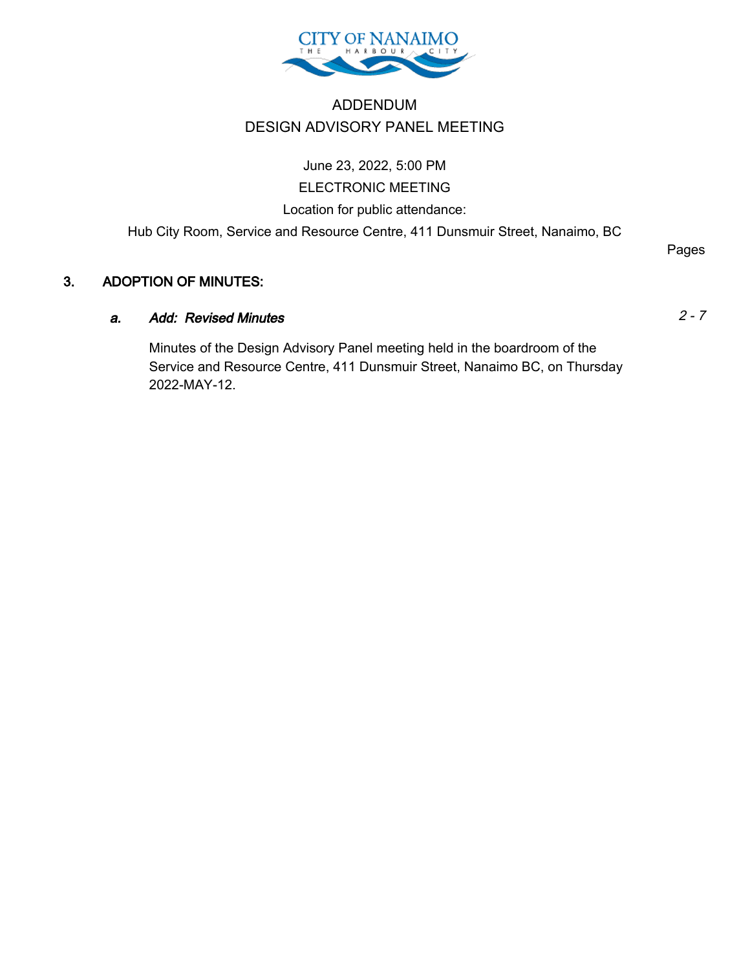

# ADDENDUM DESIGN ADVISORY PANEL MEETING

June 23, 2022, 5:00 PM ELECTRONIC MEETING Location for public attendance: Hub City Room, Service and Resource Centre, 411 Dunsmuir Street, Nanaimo, BC

## 3. ADOPTION OF MINUTES:

## a. Add: Revised Minutes 2 - 7

Minutes of the Design Advisory Panel meeting held in the boardroom of the Service and Resource Centre, 411 Dunsmuir Street, Nanaimo BC, on Thursday 2022-MAY-12.

Pages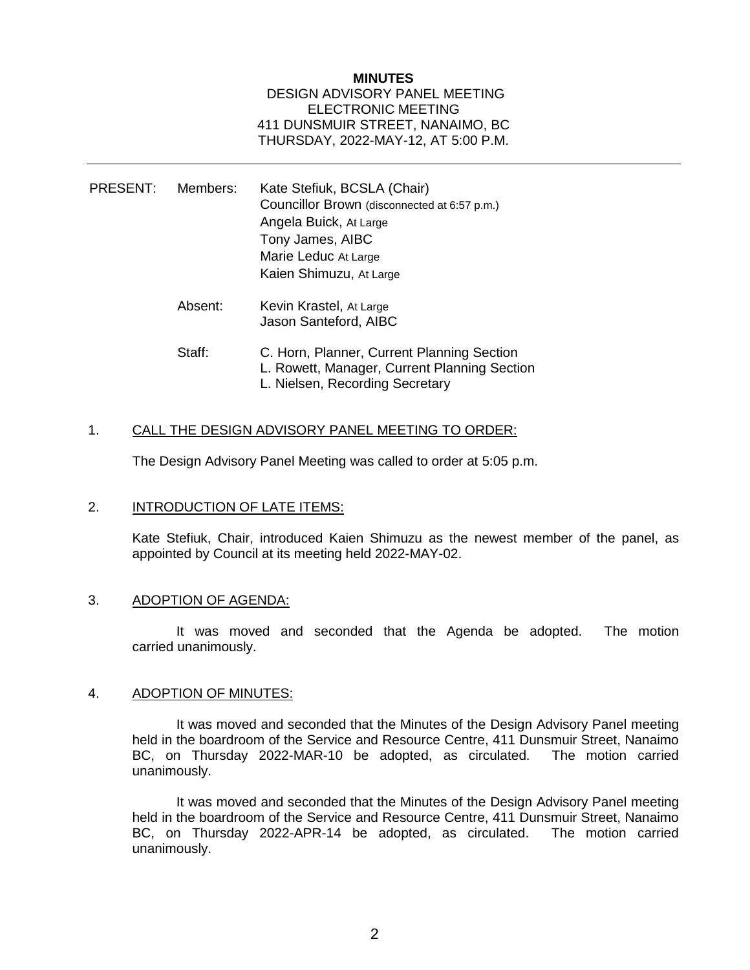## **MINUTES** DESIGN ADVISORY PANEL MEETING ELECTRONIC MEETING 411 DUNSMUIR STREET, NANAIMO, BC THURSDAY, 2022-MAY-12, AT 5:00 P.M.

| PRESENT: | Members: | Kate Stefiuk, BCSLA (Chair)<br>Councillor Brown (disconnected at 6:57 p.m.)<br>Angela Buick, At Large<br>Tony James, AIBC<br>Marie Leduc At Large<br>Kaien Shimuzu, At Large |
|----------|----------|------------------------------------------------------------------------------------------------------------------------------------------------------------------------------|
|          | Absent:  | Kevin Krastel, At Large<br>Jason Santeford, AIBC                                                                                                                             |
|          | Staff:   | C. Horn, Planner, Current Planning Section<br>L. Rowett, Manager, Current Planning Section<br>L. Nielsen, Recording Secretary                                                |

## 1. CALL THE DESIGN ADVISORY PANEL MEETING TO ORDER:

The Design Advisory Panel Meeting was called to order at 5:05 p.m.

## 2. **INTRODUCTION OF LATE ITEMS:**

Kate Stefiuk, Chair, introduced Kaien Shimuzu as the newest member of the panel, as appointed by Council at its meeting held 2022-MAY-02.

#### 3. ADOPTION OF AGENDA:

It was moved and seconded that the Agenda be adopted. The motion carried unanimously.

#### 4. ADOPTION OF MINUTES:

It was moved and seconded that the Minutes of the Design Advisory Panel meeting held in the boardroom of the Service and Resource Centre, 411 Dunsmuir Street, Nanaimo BC, on Thursday 2022-MAR-10 be adopted, as circulated. The motion carried unanimously.

It was moved and seconded that the Minutes of the Design Advisory Panel meeting held in the boardroom of the Service and Resource Centre, 411 Dunsmuir Street, Nanaimo BC, on Thursday 2022-APR-14 be adopted, as circulated. The motion carried unanimously.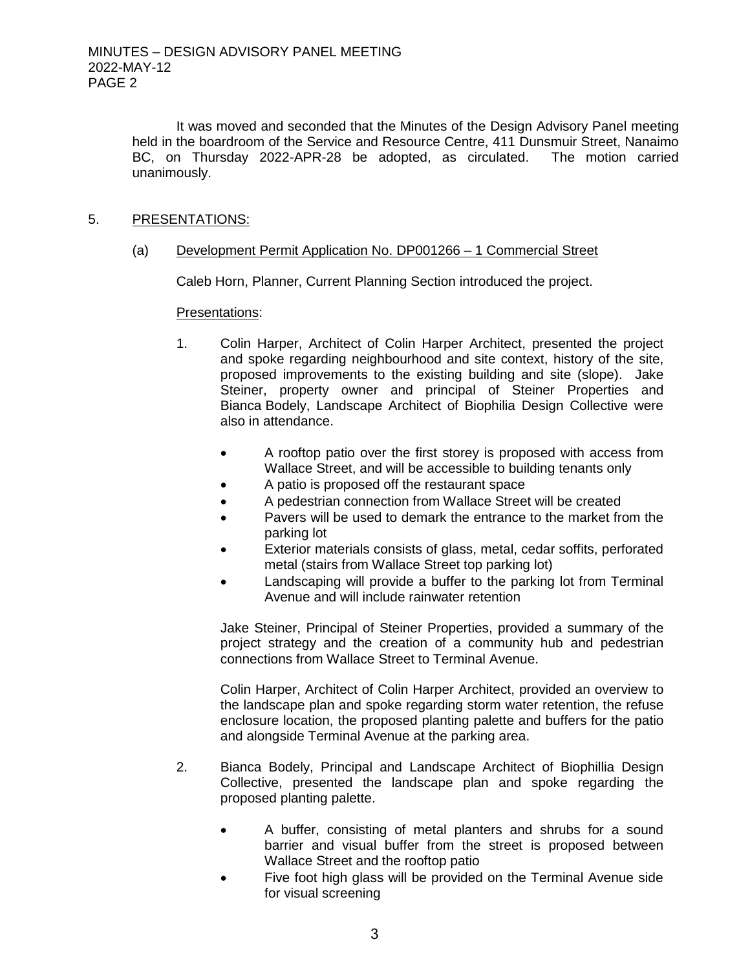It was moved and seconded that the Minutes of the Design Advisory Panel meeting held in the boardroom of the Service and Resource Centre, 411 Dunsmuir Street, Nanaimo BC, on Thursday 2022-APR-28 be adopted, as circulated. The motion carried unanimously.

## 5. PRESENTATIONS:

(a) Development Permit Application No. DP001266 – 1 Commercial Street

Caleb Horn, Planner, Current Planning Section introduced the project.

## Presentations:

- 1. Colin Harper, Architect of Colin Harper Architect, presented the project and spoke regarding neighbourhood and site context, history of the site, proposed improvements to the existing building and site (slope). Jake Steiner, property owner and principal of Steiner Properties and Bianca Bodely, Landscape Architect of Biophilia Design Collective were also in attendance.
	- A rooftop patio over the first storey is proposed with access from Wallace Street, and will be accessible to building tenants only
	- A patio is proposed off the restaurant space
	- A pedestrian connection from Wallace Street will be created
	- Pavers will be used to demark the entrance to the market from the parking lot
	- Exterior materials consists of glass, metal, cedar soffits, perforated metal (stairs from Wallace Street top parking lot)
	- Landscaping will provide a buffer to the parking lot from Terminal Avenue and will include rainwater retention

Jake Steiner, Principal of Steiner Properties, provided a summary of the project strategy and the creation of a community hub and pedestrian connections from Wallace Street to Terminal Avenue.

Colin Harper, Architect of Colin Harper Architect, provided an overview to the landscape plan and spoke regarding storm water retention, the refuse enclosure location, the proposed planting palette and buffers for the patio and alongside Terminal Avenue at the parking area.

- 2. Bianca Bodely, Principal and Landscape Architect of Biophillia Design Collective, presented the landscape plan and spoke regarding the proposed planting palette.
	- A buffer, consisting of metal planters and shrubs for a sound barrier and visual buffer from the street is proposed between Wallace Street and the rooftop patio
	- Five foot high glass will be provided on the Terminal Avenue side for visual screening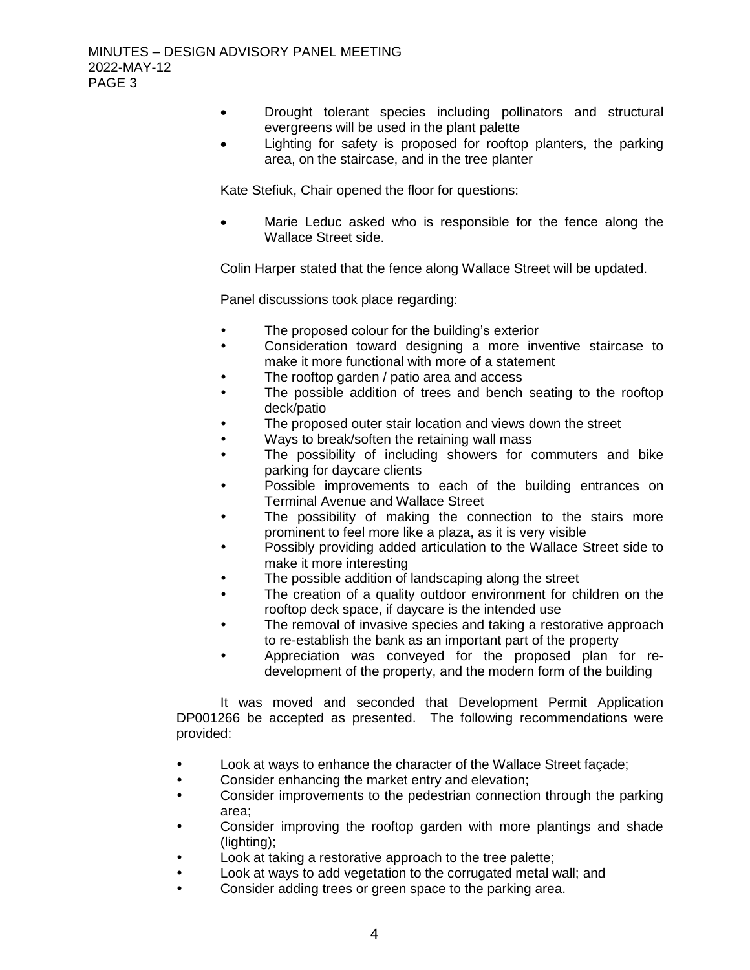- Drought tolerant species including pollinators and structural evergreens will be used in the plant palette
- Lighting for safety is proposed for rooftop planters, the parking area, on the staircase, and in the tree planter

Kate Stefiuk, Chair opened the floor for questions:

 Marie Leduc asked who is responsible for the fence along the Wallace Street side.

Colin Harper stated that the fence along Wallace Street will be updated.

Panel discussions took place regarding:

- The proposed colour for the building's exterior
- Consideration toward designing a more inventive staircase to make it more functional with more of a statement
- The rooftop garden / patio area and access
- The possible addition of trees and bench seating to the rooftop deck/patio
- The proposed outer stair location and views down the street
- Ways to break/soften the retaining wall mass
- The possibility of including showers for commuters and bike parking for daycare clients
- Possible improvements to each of the building entrances on Terminal Avenue and Wallace Street
- The possibility of making the connection to the stairs more prominent to feel more like a plaza, as it is very visible
- Possibly providing added articulation to the Wallace Street side to make it more interesting
- The possible addition of landscaping along the street
- The creation of a quality outdoor environment for children on the rooftop deck space, if daycare is the intended use
- The removal of invasive species and taking a restorative approach to re-establish the bank as an important part of the property
- Appreciation was conveyed for the proposed plan for redevelopment of the property, and the modern form of the building

It was moved and seconded that Development Permit Application DP001266 be accepted as presented. The following recommendations were provided:

- Look at ways to enhance the character of the Wallace Street façade;
- Consider enhancing the market entry and elevation;
- Consider improvements to the pedestrian connection through the parking area;
- Consider improving the rooftop garden with more plantings and shade (lighting);
- Look at taking a restorative approach to the tree palette;
- Look at ways to add vegetation to the corrugated metal wall; and
- Consider adding trees or green space to the parking area.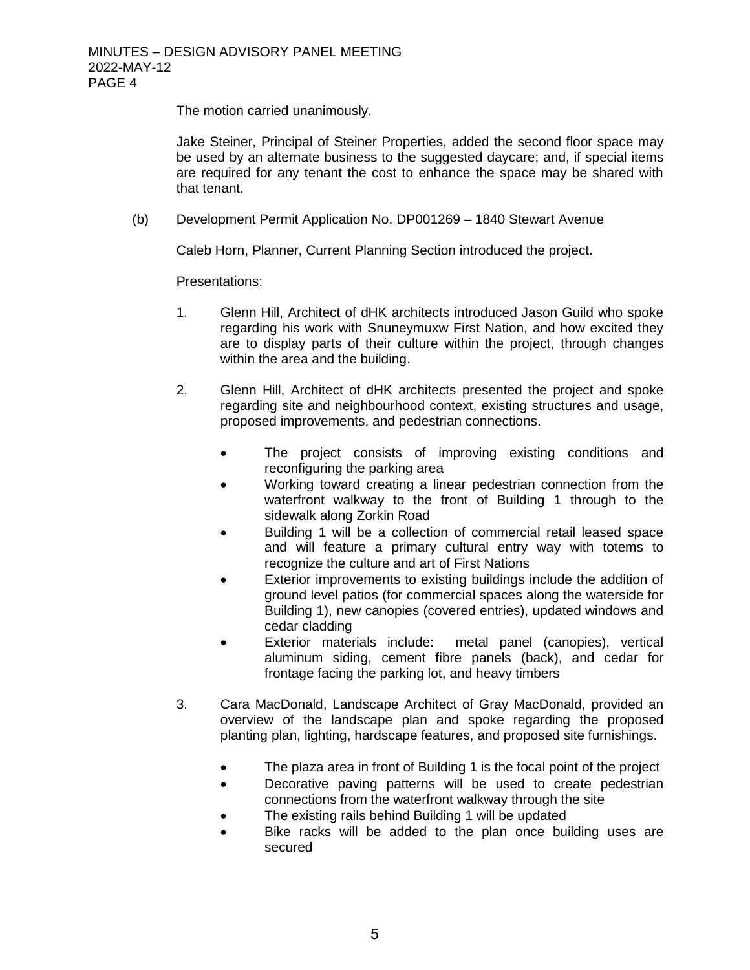The motion carried unanimously.

Jake Steiner, Principal of Steiner Properties, added the second floor space may be used by an alternate business to the suggested daycare; and, if special items are required for any tenant the cost to enhance the space may be shared with that tenant.

## (b) Development Permit Application No. DP001269 – 1840 Stewart Avenue

Caleb Horn, Planner, Current Planning Section introduced the project.

## Presentations:

- 1. Glenn Hill, Architect of dHK architects introduced Jason Guild who spoke regarding his work with Snuneymuxw First Nation, and how excited they are to display parts of their culture within the project, through changes within the area and the building.
- 2. Glenn Hill, Architect of dHK architects presented the project and spoke regarding site and neighbourhood context, existing structures and usage, proposed improvements, and pedestrian connections.
	- The project consists of improving existing conditions and reconfiguring the parking area
	- Working toward creating a linear pedestrian connection from the waterfront walkway to the front of Building 1 through to the sidewalk along Zorkin Road
	- Building 1 will be a collection of commercial retail leased space and will feature a primary cultural entry way with totems to recognize the culture and art of First Nations
	- Exterior improvements to existing buildings include the addition of ground level patios (for commercial spaces along the waterside for Building 1), new canopies (covered entries), updated windows and cedar cladding
	- Exterior materials include: metal panel (canopies), vertical aluminum siding, cement fibre panels (back), and cedar for frontage facing the parking lot, and heavy timbers
- 3. Cara MacDonald, Landscape Architect of Gray MacDonald, provided an overview of the landscape plan and spoke regarding the proposed planting plan, lighting, hardscape features, and proposed site furnishings.
	- The plaza area in front of Building 1 is the focal point of the project
	- Decorative paving patterns will be used to create pedestrian connections from the waterfront walkway through the site
	- The existing rails behind Building 1 will be updated
	- Bike racks will be added to the plan once building uses are secured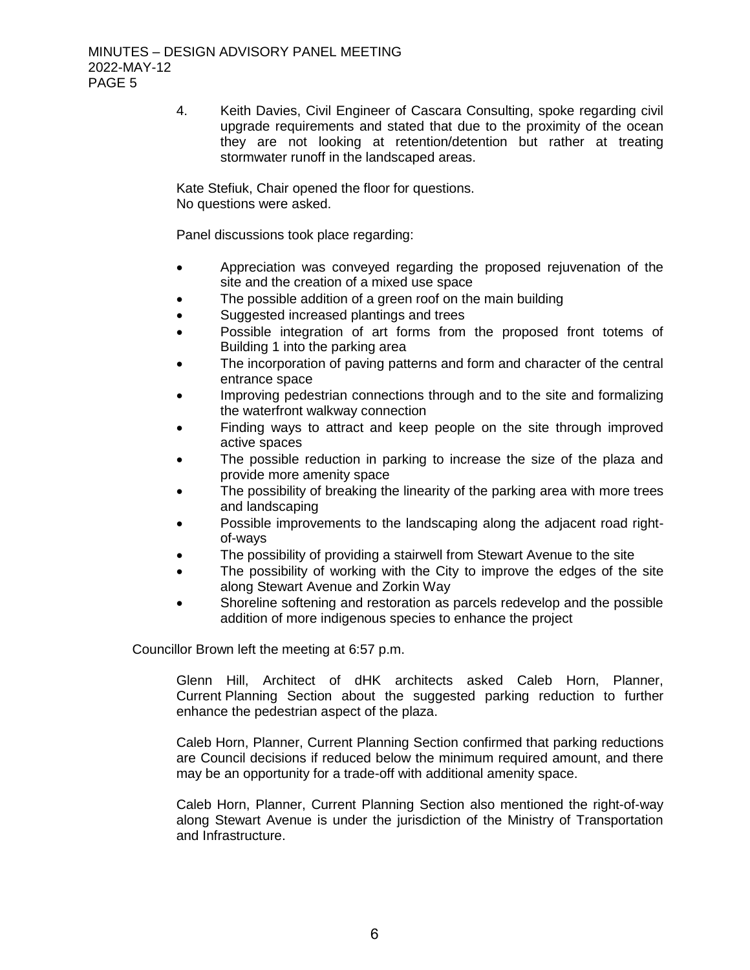4. Keith Davies, Civil Engineer of Cascara Consulting, spoke regarding civil upgrade requirements and stated that due to the proximity of the ocean they are not looking at retention/detention but rather at treating stormwater runoff in the landscaped areas.

Kate Stefiuk, Chair opened the floor for questions. No questions were asked.

Panel discussions took place regarding:

- Appreciation was conveyed regarding the proposed rejuvenation of the site and the creation of a mixed use space
- The possible addition of a green roof on the main building
- Suggested increased plantings and trees
- Possible integration of art forms from the proposed front totems of Building 1 into the parking area
- The incorporation of paving patterns and form and character of the central entrance space
- Improving pedestrian connections through and to the site and formalizing the waterfront walkway connection
- Finding ways to attract and keep people on the site through improved active spaces
- The possible reduction in parking to increase the size of the plaza and provide more amenity space
- The possibility of breaking the linearity of the parking area with more trees and landscaping
- Possible improvements to the landscaping along the adjacent road rightof-ways
- The possibility of providing a stairwell from Stewart Avenue to the site
- The possibility of working with the City to improve the edges of the site along Stewart Avenue and Zorkin Way
- Shoreline softening and restoration as parcels redevelop and the possible addition of more indigenous species to enhance the project

Councillor Brown left the meeting at 6:57 p.m.

Glenn Hill, Architect of dHK architects asked Caleb Horn, Planner, Current Planning Section about the suggested parking reduction to further enhance the pedestrian aspect of the plaza.

Caleb Horn, Planner, Current Planning Section confirmed that parking reductions are Council decisions if reduced below the minimum required amount, and there may be an opportunity for a trade-off with additional amenity space.

Caleb Horn, Planner, Current Planning Section also mentioned the right-of-way along Stewart Avenue is under the jurisdiction of the Ministry of Transportation and Infrastructure.